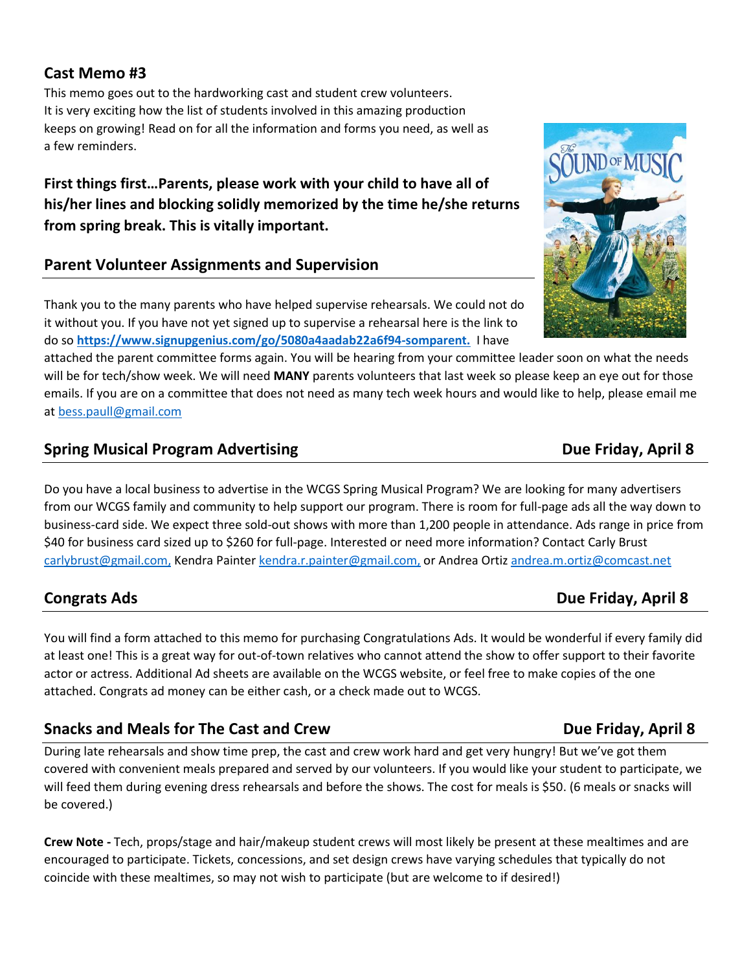# **Cast Memo #3**

This memo goes out to the hardworking cast and student crew volunteers. It is very exciting how the list of students involved in this amazing production keeps on growing! Read on for all the information and forms you need, as well as a few reminders.

**First things first…Parents, please work with your child to have all of his/her lines and blocking solidly memorized by the time he/she returns from spring break. This is vitally important.** 

## **Parent Volunteer Assignments and Supervision**

Thank you to the many parents who have helped supervise rehearsals. We could not do it without you. If you have not yet signed up to supervise a rehearsal here is the link to do so **[https://www.signupgenius.com/go/5080a4aadab22a6f94-somparent.](https://www.signupgenius.com/go/5080a4aadab22a6f94-somparent)** I have

attached the parent committee forms again. You will be hearing from your committee leader soon on what the needs will be for tech/show week. We will need **MANY** parents volunteers that last week so please keep an eye out for those emails. If you are on a committee that does not need as many tech week hours and would like to help, please email me at [bess.paull@gmail.com](mailto:bess.paull@gmail.com)

## **Spring Musical Program Advertising Butcherry 2015** 2016 12:30 Due Friday, April 8

Do you have a local business to advertise in the WCGS Spring Musical Program? We are looking for many advertisers from our WCGS family and community to help support our program. There is room for full-page ads all the way down to business-card side. We expect three sold-out shows with more than 1,200 people in attendance. Ads range in price from \$40 for business card sized up to \$260 for full-page. Interested or need more information? Contact Carly Brust [carlybrust@gmail.com,](mailto:carlybrust@gmail.com) Kendra Painter [kendra.r.painter@gmail.com,](mailto:kendra.r.painter@gmail.com) or Andrea Orti[z andrea.m.ortiz@comcast.net](mailto:andrea.m.ortiz@comcast.net)

You will find a form attached to this memo for purchasing Congratulations Ads. It would be wonderful if every family did at least one! This is a great way for out-of-town relatives who cannot attend the show to offer support to their favorite actor or actress. Additional Ad sheets are available on the WCGS website, or feel free to make copies of the one attached. Congrats ad money can be either cash, or a check made out to WCGS.

# **Snacks and Meals for The Cast and Crew Due Friday, April 8**

During late rehearsals and show time prep, the cast and crew work hard and get very hungry! But we've got them covered with convenient meals prepared and served by our volunteers. If you would like your student to participate, we will feed them during evening dress rehearsals and before the shows. The cost for meals is \$50. (6 meals or snacks will be covered.)

**Crew Note -** Tech, props/stage and hair/makeup student crews will most likely be present at these mealtimes and are encouraged to participate. Tickets, concessions, and set design crews have varying schedules that typically do not coincide with these mealtimes, so may not wish to participate (but are welcome to if desired!)

### **Congrats Ads Congrats Ads Congrats Ads Due Friday, April 8**